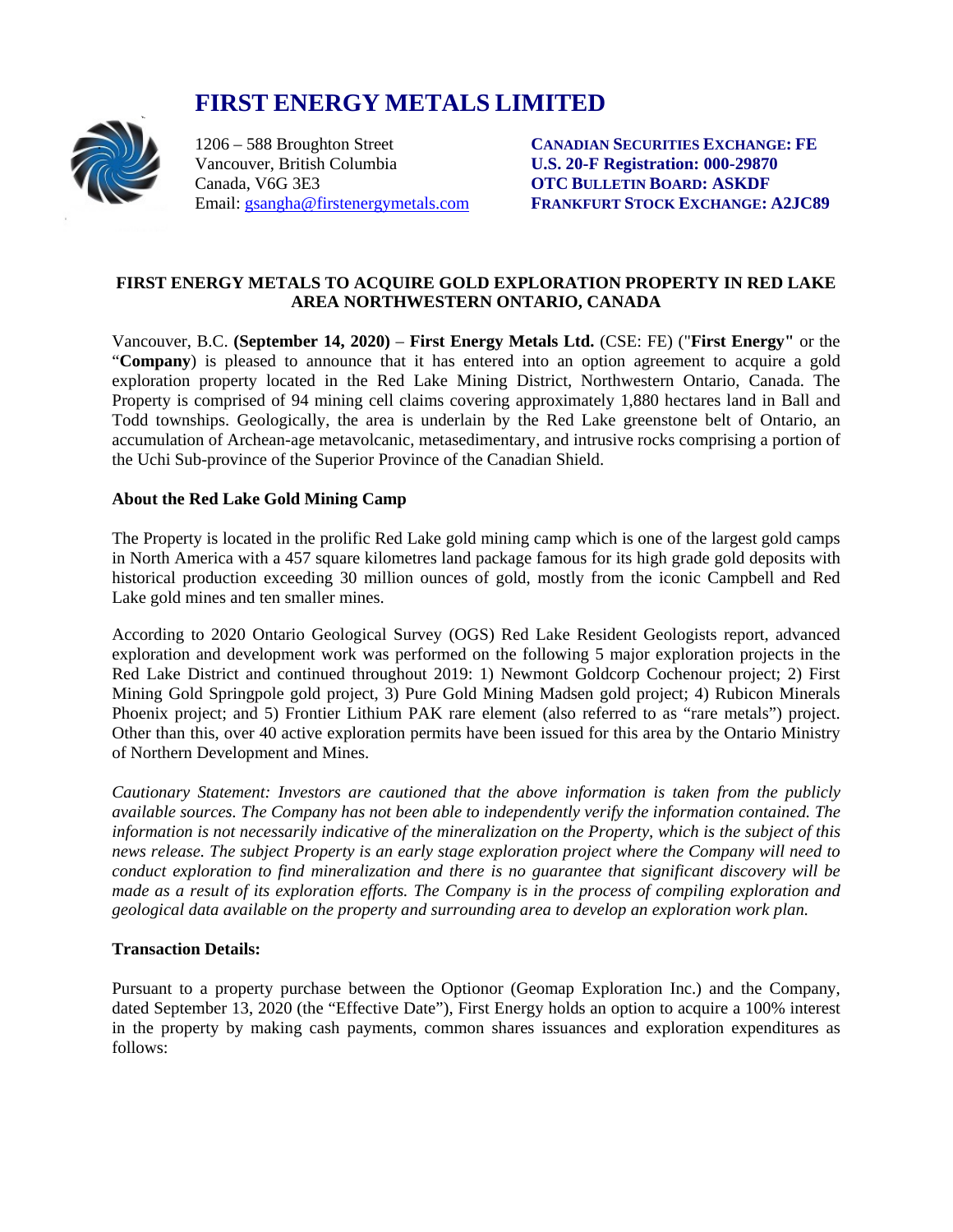# **FIRST ENERGY METALS LIMITED**<br>1206 – 588 Broughton Street CANADIAN



Vancouver, British Columbia **U.S. 20-F Registration: 000-29870**

1206 – 588 Broughton Street **CANADIAN SECURITIES EXCHANGE: FE OTC BULLETIN BOARD: ASKDF** Email: [gsangha@firstenergymetals.com](mailto:gsangha@firstenergymetals.com) **FRANKFURT STOCK EXCHANGE: A2JC89**

## **FIRST ENERGY METALS TO ACQUIRE GOLD EXPLORATION PROPERTY IN RED LAKE AREA NORTHWESTERN ONTARIO, CANADA**

Vancouver, B.C. **(September 14, 2020)** – **First Energy Metals Ltd.** (CSE: FE) ("**First Energy"** or the "**Company**) is pleased to announce that it has entered into an option agreement to acquire a gold exploration property located in the Red Lake Mining District, Northwestern Ontario, Canada. The Property is comprised of 94 mining cell claims covering approximately 1,880 hectares land in Ball and Todd townships. Geologically, the area is underlain by the Red Lake greenstone belt of Ontario, an accumulation of Archean-age metavolcanic, metasedimentary, and intrusive rocks comprising a portion of the Uchi Sub-province of the Superior Province of the Canadian Shield.

## **About the Red Lake Gold Mining Camp**

The Property is located in the prolific Red Lake gold mining camp which is one of the largest gold camps in North America with a 457 square kilometres land package famous for its high grade gold deposits with historical production exceeding 30 million ounces of gold, mostly from the iconic Campbell and Red Lake gold mines and ten smaller mines.

According to 2020 Ontario Geological Survey (OGS) Red Lake Resident Geologists report, advanced exploration and development work was performed on the following 5 major exploration projects in the Red Lake District and continued throughout 2019: 1) Newmont Goldcorp Cochenour project; 2) First Mining Gold Springpole gold project, 3) Pure Gold Mining Madsen gold project; 4) Rubicon Minerals Phoenix project; and 5) Frontier Lithium PAK rare element (also referred to as "rare metals") project. Other than this, over 40 active exploration permits have been issued for this area by the Ontario Ministry of Northern Development and Mines.

*Cautionary Statement: Investors are cautioned that the above information is taken from the publicly available sources. The Company has not been able to independently verify the information contained. The information is not necessarily indicative of the mineralization on the Property, which is the subject of this news release. The subject Property is an early stage exploration project where the Company will need to conduct exploration to find mineralization and there is no guarantee that significant discovery will be made as a result of its exploration efforts. The Company is in the process of compiling exploration and geological data available on the property and surrounding area to develop an exploration work plan.* 

## **Transaction Details:**

Pursuant to a property purchase between the Optionor (Geomap Exploration Inc.) and the Company, dated September 13, 2020 (the "Effective Date"), First Energy holds an option to acquire a 100% interest in the property by making cash payments, common shares issuances and exploration expenditures as follows: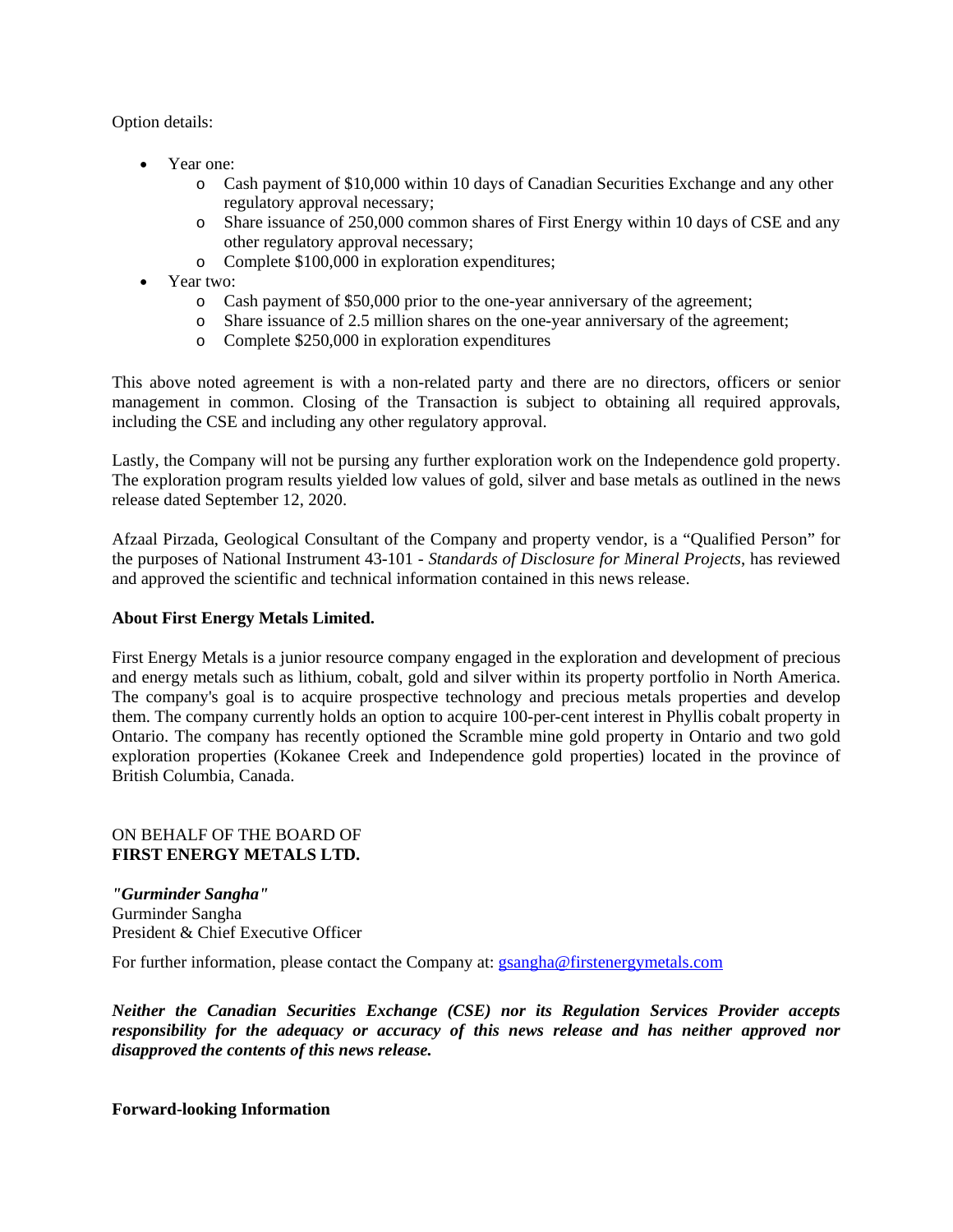Option details:

- Year one:
	- o Cash payment of \$10,000 within 10 days of Canadian Securities Exchange and any other regulatory approval necessary;
	- o Share issuance of 250,000 common shares of First Energy within 10 days of CSE and any other regulatory approval necessary;
	- o Complete \$100,000 in exploration expenditures;
- Year two:
	- o Cash payment of \$50,000 prior to the one-year anniversary of the agreement;
	- o Share issuance of 2.5 million shares on the one-year anniversary of the agreement;
	- o Complete \$250,000 in exploration expenditures

This above noted agreement is with a non-related party and there are no directors, officers or senior management in common. Closing of the Transaction is subject to obtaining all required approvals, including the CSE and including any other regulatory approval.

Lastly, the Company will not be pursing any further exploration work on the Independence gold property. The exploration program results yielded low values of gold, silver and base metals as outlined in the news release dated September 12, 2020.

Afzaal Pirzada, Geological Consultant of the Company and property vendor, is a "Qualified Person" for the purposes of National Instrument 43-101 - *Standards of Disclosure for Mineral Projects*, has reviewed and approved the scientific and technical information contained in this news release.

#### **About First Energy Metals Limited.**

First Energy Metals is a junior resource company engaged in the exploration and development of precious and energy metals such as lithium, cobalt, gold and silver within its property portfolio in North America. The company's goal is to acquire prospective technology and precious metals properties and develop them. The company currently holds an option to acquire 100-per-cent interest in Phyllis cobalt property in Ontario. The company has recently optioned the Scramble mine gold property in Ontario and two gold exploration properties (Kokanee Creek and Independence gold properties) located in the province of British Columbia, Canada.

#### ON BEHALF OF THE BOARD OF **FIRST ENERGY METALS LTD.**

*"Gurminder Sangha"* Gurminder Sangha President & Chief Executive Officer

For further information, please contact the Company at: [gsangha@firstenergymetals.com](mailto:gsangha@firstenergymetals.com)

*Neither the Canadian Securities Exchange (CSE) nor its Regulation Services Provider accepts responsibility for the adequacy or accuracy of this news release and has neither approved nor disapproved the contents of this news release.*

#### **Forward-looking Information**